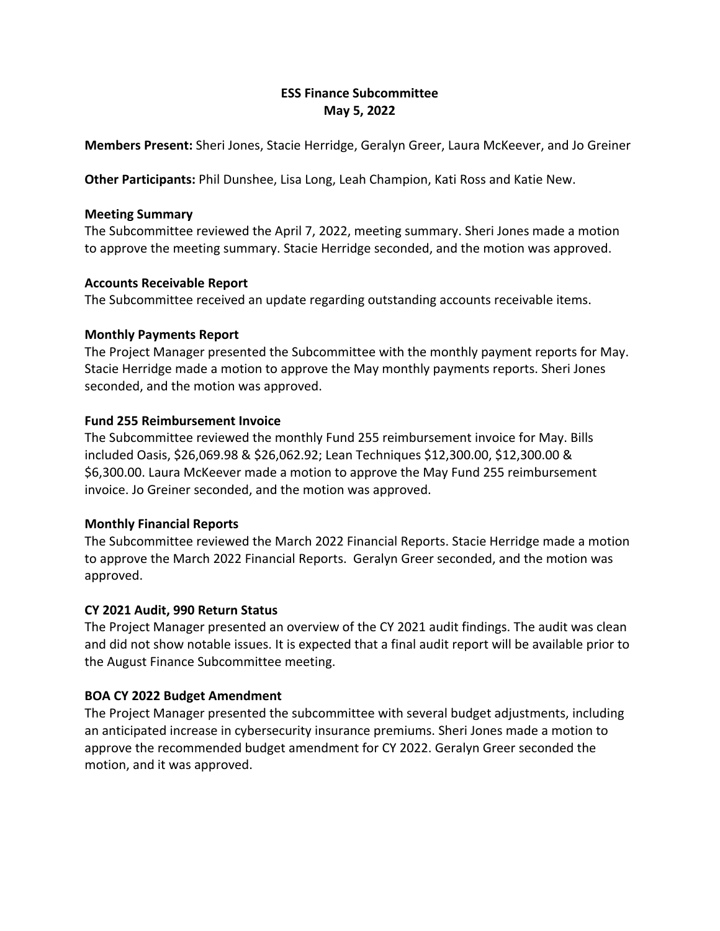# **ESS Finance Subcommittee May 5, 2022**

**Members Present:** Sheri Jones, Stacie Herridge, Geralyn Greer, Laura McKeever, and Jo Greiner

**Other Participants:** Phil Dunshee, Lisa Long, Leah Champion, Kati Ross and Katie New.

#### **Meeting Summary**

The Subcommittee reviewed the April 7, 2022, meeting summary. Sheri Jones made a motion to approve the meeting summary. Stacie Herridge seconded, and the motion was approved.

### **Accounts Receivable Report**

The Subcommittee received an update regarding outstanding accounts receivable items.

#### **Monthly Payments Report**

The Project Manager presented the Subcommittee with the monthly payment reports for May. Stacie Herridge made a motion to approve the May monthly payments reports. Sheri Jones seconded, and the motion was approved.

### **Fund 255 Reimbursement Invoice**

The Subcommittee reviewed the monthly Fund 255 reimbursement invoice for May. Bills included Oasis, \$26,069.98 & \$26,062.92; Lean Techniques \$12,300.00, \$12,300.00 & \$6,300.00. Laura McKeever made a motion to approve the May Fund 255 reimbursement invoice. Jo Greiner seconded, and the motion was approved.

### **Monthly Financial Reports**

The Subcommittee reviewed the March 2022 Financial Reports. Stacie Herridge made a motion to approve the March 2022 Financial Reports. Geralyn Greer seconded, and the motion was approved.

### **CY 2021 Audit, 990 Return Status**

The Project Manager presented an overview of the CY 2021 audit findings. The audit was clean and did not show notable issues. It is expected that a final audit report will be available prior to the August Finance Subcommittee meeting.

### **BOA CY 2022 Budget Amendment**

The Project Manager presented the subcommittee with several budget adjustments, including an anticipated increase in cybersecurity insurance premiums. Sheri Jones made a motion to approve the recommended budget amendment for CY 2022. Geralyn Greer seconded the motion, and it was approved.